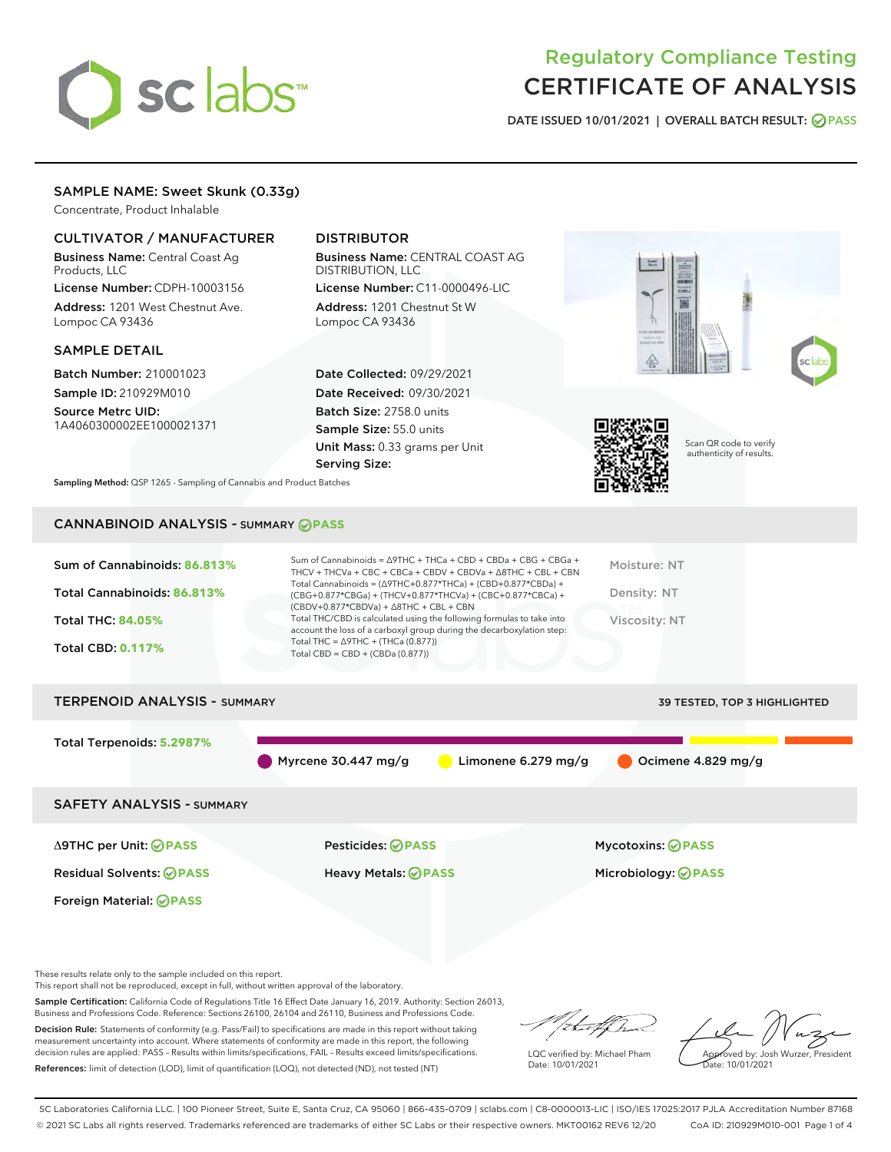# sclabs<sup>\*</sup>

# Regulatory Compliance Testing CERTIFICATE OF ANALYSIS

DATE ISSUED 10/01/2021 | OVERALL BATCH RESULT: @ PASS

## SAMPLE NAME: Sweet Skunk (0.33g)

Concentrate, Product Inhalable

## CULTIVATOR / MANUFACTURER

Business Name: Central Coast Ag Products, LLC

License Number: CDPH-10003156 Address: 1201 West Chestnut Ave. Lompoc CA 93436

#### SAMPLE DETAIL

Batch Number: 210001023 Sample ID: 210929M010

Source Metrc UID: 1A4060300002EE1000021371

# DISTRIBUTOR

Business Name: CENTRAL COAST AG DISTRIBUTION, LLC License Number: C11-0000496-LIC

Address: 1201 Chestnut St W Lompoc CA 93436

Date Collected: 09/29/2021 Date Received: 09/30/2021 Batch Size: 2758.0 units Sample Size: 55.0 units Unit Mass: 0.33 grams per Unit Serving Size:





Scan QR code to verify authenticity of results.

Sampling Method: QSP 1265 - Sampling of Cannabis and Product Batches

# CANNABINOID ANALYSIS - SUMMARY **PASS**

| Sum of Cannabinoids: 86.813% | Sum of Cannabinoids = $\triangle$ 9THC + THCa + CBD + CBDa + CBG + CBGa +<br>THCV + THCVa + CBC + CBCa + CBDV + CBDVa + $\Delta$ 8THC + CBL + CBN                                    | Moisture: NT  |
|------------------------------|--------------------------------------------------------------------------------------------------------------------------------------------------------------------------------------|---------------|
| Total Cannabinoids: 86.813%  | Total Cannabinoids = $(\Delta$ 9THC+0.877*THCa) + (CBD+0.877*CBDa) +<br>(CBG+0.877*CBGa) + (THCV+0.877*THCVa) + (CBC+0.877*CBCa) +<br>$(CBDV+0.877*CBDVa) + \Delta 8THC + CBL + CBN$ | Density: NT   |
| <b>Total THC: 84.05%</b>     | Total THC/CBD is calculated using the following formulas to take into<br>account the loss of a carboxyl group during the decarboxylation step:                                       | Viscosity: NT |
| <b>Total CBD: 0.117%</b>     | Total THC = $\triangle$ 9THC + (THCa (0.877))<br>Total CBD = $CBD + (CBDa (0.877))$                                                                                                  |               |
|                              |                                                                                                                                                                                      |               |

# TERPENOID ANALYSIS - SUMMARY 39 TESTED, TOP 3 HIGHLIGHTED Total Terpenoids: **5.2987%** Myrcene 30.447 mg/g  $\qquad \qquad$  Limonene 6.279 mg/g  $\qquad \qquad$  Ocimene 4.829 mg/g SAFETY ANALYSIS - SUMMARY Δ9THC per Unit: **PASS** Pesticides: **PASS** Mycotoxins: **PASS**

Residual Solvents: **PASS** Heavy Metals: **PASS** Microbiology: **PASS**

Foreign Material: **PASS**

These results relate only to the sample included on this report.

This report shall not be reproduced, except in full, without written approval of the laboratory.

Sample Certification: California Code of Regulations Title 16 Effect Date January 16, 2019. Authority: Section 26013, Business and Professions Code. Reference: Sections 26100, 26104 and 26110, Business and Professions Code.

Decision Rule: Statements of conformity (e.g. Pass/Fail) to specifications are made in this report without taking measurement uncertainty into account. Where statements of conformity are made in this report, the following decision rules are applied: PASS – Results within limits/specifications, FAIL – Results exceed limits/specifications. References: limit of detection (LOD), limit of quantification (LOQ), not detected (ND), not tested (NT)

that for

LQC verified by: Michael Pham Date: 10/01/2021

Approved by: Josh Wurzer, President proved by: 585

SC Laboratories California LLC. | 100 Pioneer Street, Suite E, Santa Cruz, CA 95060 | 866-435-0709 | sclabs.com | C8-0000013-LIC | ISO/IES 17025:2017 PJLA Accreditation Number 87168 © 2021 SC Labs all rights reserved. Trademarks referenced are trademarks of either SC Labs or their respective owners. MKT00162 REV6 12/20 CoA ID: 210929M010-001 Page 1 of 4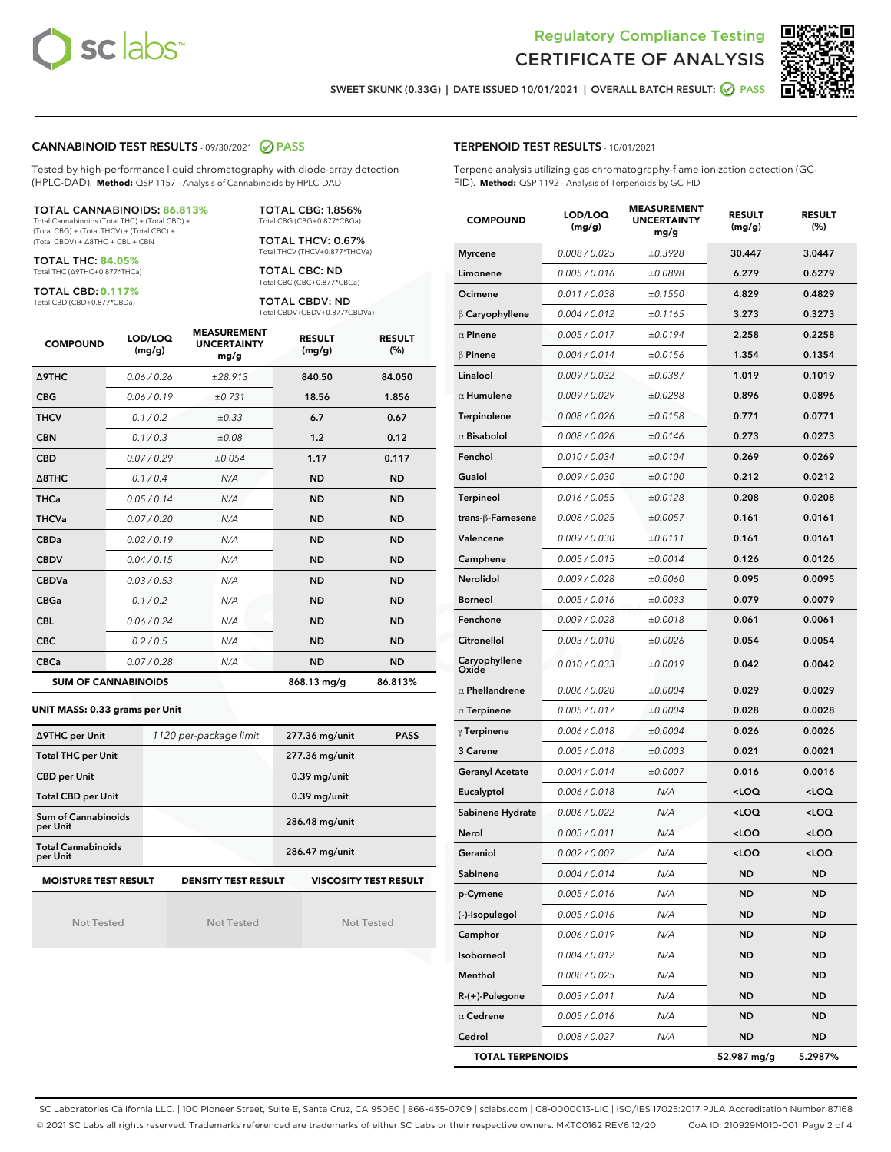



SWEET SKUNK (0.33G) | DATE ISSUED 10/01/2021 | OVERALL BATCH RESULT: **○** PASS

## CANNABINOID TEST RESULTS - 09/30/2021 @ PASS

Tested by high-performance liquid chromatography with diode-array detection (HPLC-DAD). **Method:** QSP 1157 - Analysis of Cannabinoids by HPLC-DAD

#### TOTAL CANNABINOIDS: **86.813%**

Total Cannabinoids (Total THC) + (Total CBD) + (Total CBG) + (Total THCV) + (Total CBC) + (Total CBDV) + ∆8THC + CBL + CBN

TOTAL THC: **84.05%** Total THC (∆9THC+0.877\*THCa)

TOTAL CBD: **0.117%**

Total CBD (CBD+0.877\*CBDa)

TOTAL CBG: 1.856% Total CBG (CBG+0.877\*CBGa)

TOTAL THCV: 0.67% Total THCV (THCV+0.877\*THCVa)

TOTAL CBC: ND Total CBC (CBC+0.877\*CBCa)

TOTAL CBDV: ND Total CBDV (CBDV+0.877\*CBDVa)

| <b>COMPOUND</b>            | LOD/LOQ<br>(mg/g) | <b>MEASUREMENT</b><br><b>UNCERTAINTY</b><br>mg/g | <b>RESULT</b><br>(mg/g) | <b>RESULT</b><br>(%) |
|----------------------------|-------------------|--------------------------------------------------|-------------------------|----------------------|
| <b>A9THC</b>               | 0.06/0.26         | ±28.913                                          | 840.50                  | 84.050               |
| <b>CBG</b>                 | 0.06 / 0.19       | ±0.731                                           | 18.56                   | 1.856                |
| <b>THCV</b>                | 0.1 / 0.2         | ±0.33                                            | 6.7                     | 0.67                 |
| <b>CBN</b>                 | 0.1/0.3           | ±0.08                                            | 1.2                     | 0.12                 |
| <b>CBD</b>                 | 0.07/0.29         | ±0.054                                           | 1.17                    | 0.117                |
| $\triangle$ 8THC           | 0.1/0.4           | N/A                                              | <b>ND</b>               | <b>ND</b>            |
| <b>THCa</b>                | 0.05/0.14         | N/A                                              | <b>ND</b>               | <b>ND</b>            |
| <b>THCVa</b>               | 0.07 / 0.20       | N/A                                              | <b>ND</b>               | <b>ND</b>            |
| <b>CBDa</b>                | 0.02/0.19         | N/A                                              | <b>ND</b>               | <b>ND</b>            |
| <b>CBDV</b>                | 0.04 / 0.15       | N/A                                              | <b>ND</b>               | <b>ND</b>            |
| <b>CBDVa</b>               | 0.03 / 0.53       | N/A                                              | <b>ND</b>               | <b>ND</b>            |
| <b>CBGa</b>                | 0.1/0.2           | N/A                                              | <b>ND</b>               | <b>ND</b>            |
| <b>CBL</b>                 | 0.06 / 0.24       | N/A                                              | <b>ND</b>               | <b>ND</b>            |
| <b>CBC</b>                 | 0.2 / 0.5         | N/A                                              | <b>ND</b>               | <b>ND</b>            |
| <b>CBCa</b>                | 0.07/0.28         | N/A                                              | <b>ND</b>               | <b>ND</b>            |
| <b>SUM OF CANNABINOIDS</b> |                   |                                                  | 868.13 mg/g             | 86.813%              |

#### **UNIT MASS: 0.33 grams per Unit**

| ∆9THC per Unit                        | 1120 per-package limit     | 277.36 mg/unit<br><b>PASS</b> |  |
|---------------------------------------|----------------------------|-------------------------------|--|
| <b>Total THC per Unit</b>             |                            | 277.36 mg/unit                |  |
| <b>CBD per Unit</b>                   |                            | $0.39$ mg/unit                |  |
| <b>Total CBD per Unit</b>             |                            | $0.39$ mg/unit                |  |
| Sum of Cannabinoids<br>per Unit       |                            | 286.48 mg/unit                |  |
| <b>Total Cannabinoids</b><br>per Unit |                            | 286.47 mg/unit                |  |
| <b>MOISTURE TEST RESULT</b>           | <b>DENSITY TEST RESULT</b> | <b>VISCOSITY TEST RESULT</b>  |  |

Not Tested

Not Tested

Not Tested

| <b>TERPENOID TEST RESULTS - 10/01/2021</b> |  |
|--------------------------------------------|--|
|--------------------------------------------|--|

Terpene analysis utilizing gas chromatography-flame ionization detection (GC-FID). **Method:** QSP 1192 - Analysis of Terpenoids by GC-FID

| <b>COMPOUND</b>         | LOD/LOQ<br>(mg/g) | <b>MEASUREMENT</b><br><b>UNCERTAINTY</b><br>mg/g | <b>RESULT</b><br>(mg/g)                         | <b>RESULT</b><br>$(\%)$ |
|-------------------------|-------------------|--------------------------------------------------|-------------------------------------------------|-------------------------|
| <b>Myrcene</b>          | 0.008 / 0.025     | ±0.3928                                          | 30.447                                          | 3.0447                  |
| Limonene                | 0.005 / 0.016     | ±0.0898                                          | 6.279                                           | 0.6279                  |
| Ocimene                 | 0.011 / 0.038     | ±0.1550                                          | 4.829                                           | 0.4829                  |
| $\upbeta$ Caryophyllene | 0.004 / 0.012     | ±0.1165                                          | 3.273                                           | 0.3273                  |
| $\alpha$ Pinene         | 0.005 / 0.017     | ±0.0194                                          | 2.258                                           | 0.2258                  |
| $\beta$ Pinene          | 0.004 / 0.014     | ±0.0156                                          | 1.354                                           | 0.1354                  |
| Linalool                | 0.009 / 0.032     | ±0.0387                                          | 1.019                                           | 0.1019                  |
| $\alpha$ Humulene       | 0.009/0.029       | ±0.0288                                          | 0.896                                           | 0.0896                  |
| Terpinolene             | 0.008 / 0.026     | ±0.0158                                          | 0.771                                           | 0.0771                  |
| $\alpha$ Bisabolol      | 0.008 / 0.026     | ±0.0146                                          | 0.273                                           | 0.0273                  |
| Fenchol                 | 0.010 / 0.034     | ±0.0104                                          | 0.269                                           | 0.0269                  |
| Guaiol                  | 0.009 / 0.030     | ±0.0100                                          | 0.212                                           | 0.0212                  |
| Terpineol               | 0.016 / 0.055     | ±0.0128                                          | 0.208                                           | 0.0208                  |
| trans-β-Farnesene       | 0.008 / 0.025     | ±0.0057                                          | 0.161                                           | 0.0161                  |
| Valencene               | 0.009 / 0.030     | ±0.0111                                          | 0.161                                           | 0.0161                  |
| Camphene                | 0.005 / 0.015     | ±0.0014                                          | 0.126                                           | 0.0126                  |
| Nerolidol               | 0.009 / 0.028     | ±0.0060                                          | 0.095                                           | 0.0095                  |
| <b>Borneol</b>          | 0.005 / 0.016     | ±0.0033                                          | 0.079                                           | 0.0079                  |
| Fenchone                | 0.009 / 0.028     | ±0.0018                                          | 0.061                                           | 0.0061                  |
| Citronellol             | 0.003 / 0.010     | ±0.0026                                          | 0.054                                           | 0.0054                  |
| Caryophyllene<br>Oxide  | 0.010 / 0.033     | ±0.0019                                          | 0.042                                           | 0.0042                  |
| $\alpha$ Phellandrene   | 0.006 / 0.020     | ±0.0004                                          | 0.029                                           | 0.0029                  |
| $\alpha$ Terpinene      | 0.005 / 0.017     | ±0.0004                                          | 0.028                                           | 0.0028                  |
| $\gamma$ Terpinene      | 0.006 / 0.018     | ±0.0004                                          | 0.026                                           | 0.0026                  |
| 3 Carene                | 0.005 / 0.018     | ±0.0003                                          | 0.021                                           | 0.0021                  |
| <b>Geranyl Acetate</b>  | 0.004 / 0.014     | ±0.0007                                          | 0.016                                           | 0.0016                  |
| Eucalyptol              | 0.006 / 0.018     | N/A                                              | <loq< th=""><th><loq< th=""></loq<></th></loq<> | <loq< th=""></loq<>     |
| Sabinene Hydrate        | 0.006 / 0.022     | N/A                                              | <loq< th=""><th><loq< th=""></loq<></th></loq<> | <loq< th=""></loq<>     |
| Nerol                   | 0.003 / 0.011     | N/A                                              | <loq< th=""><th><loq< th=""></loq<></th></loq<> | <loq< th=""></loq<>     |
| Geraniol                | 0.002 / 0.007     | N/A                                              | $<$ l OO                                        | $\sim$ 0.0              |
| Sabinene                | 0.004 / 0.014     | N/A                                              | ND                                              | ND                      |
| p-Cymene                | 0.005 / 0.016     | N/A                                              | ND                                              | ND                      |
| (-)-Isopulegol          | 0.005 / 0.016     | N/A                                              | ND                                              | <b>ND</b>               |
| Camphor                 | 0.006 / 0.019     | N/A                                              | ND                                              | <b>ND</b>               |
| Isoborneol              | 0.004 / 0.012     | N/A                                              | ND                                              | ND                      |
| Menthol                 | 0.008 / 0.025     | N/A                                              | ND                                              | <b>ND</b>               |
| R-(+)-Pulegone          | 0.003 / 0.011     | N/A                                              | ND                                              | ND                      |
| $\alpha$ Cedrene        | 0.005 / 0.016     | N/A                                              | ND                                              | ND                      |
| Cedrol                  | 0.008 / 0.027     | N/A                                              | ND                                              | <b>ND</b>               |
| <b>TOTAL TERPENOIDS</b> |                   |                                                  | 52.987 mg/g                                     | 5.2987%                 |

SC Laboratories California LLC. | 100 Pioneer Street, Suite E, Santa Cruz, CA 95060 | 866-435-0709 | sclabs.com | C8-0000013-LIC | ISO/IES 17025:2017 PJLA Accreditation Number 87168 © 2021 SC Labs all rights reserved. Trademarks referenced are trademarks of either SC Labs or their respective owners. MKT00162 REV6 12/20 CoA ID: 210929M010-001 Page 2 of 4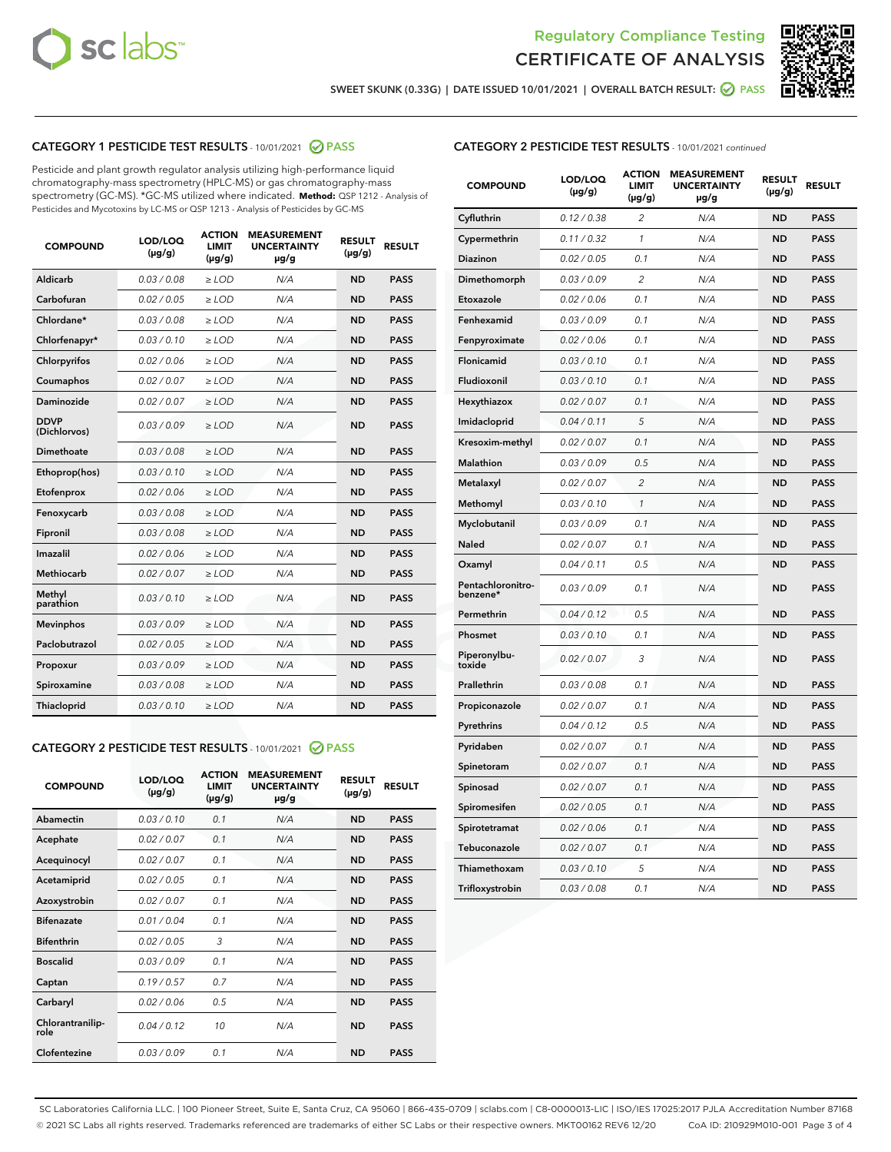



SWEET SKUNK (0.33G) | DATE ISSUED 10/01/2021 | OVERALL BATCH RESULT: @ PASS

# CATEGORY 1 PESTICIDE TEST RESULTS - 10/01/2021 2 PASS

Pesticide and plant growth regulator analysis utilizing high-performance liquid chromatography-mass spectrometry (HPLC-MS) or gas chromatography-mass spectrometry (GC-MS). \*GC-MS utilized where indicated. **Method:** QSP 1212 - Analysis of Pesticides and Mycotoxins by LC-MS or QSP 1213 - Analysis of Pesticides by GC-MS

| <b>COMPOUND</b>             | LOD/LOQ<br>$(\mu g/g)$ | <b>ACTION</b><br><b>LIMIT</b><br>$(\mu g/g)$ | <b>MEASUREMENT</b><br><b>UNCERTAINTY</b><br>µg/g | <b>RESULT</b><br>$(\mu g/g)$ | <b>RESULT</b> |
|-----------------------------|------------------------|----------------------------------------------|--------------------------------------------------|------------------------------|---------------|
| Aldicarb                    | 0.03 / 0.08            | $\geq$ LOD                                   | N/A                                              | <b>ND</b>                    | <b>PASS</b>   |
| Carbofuran                  | 0.02/0.05              | $\ge$ LOD                                    | N/A                                              | <b>ND</b>                    | <b>PASS</b>   |
| Chlordane*                  | 0.03 / 0.08            | $\ge$ LOD                                    | N/A                                              | <b>ND</b>                    | <b>PASS</b>   |
| Chlorfenapyr*               | 0.03/0.10              | $\ge$ LOD                                    | N/A                                              | <b>ND</b>                    | <b>PASS</b>   |
| Chlorpyrifos                | 0.02 / 0.06            | $\ge$ LOD                                    | N/A                                              | <b>ND</b>                    | <b>PASS</b>   |
| Coumaphos                   | 0.02 / 0.07            | $\ge$ LOD                                    | N/A                                              | <b>ND</b>                    | <b>PASS</b>   |
| Daminozide                  | 0.02 / 0.07            | $\ge$ LOD                                    | N/A                                              | <b>ND</b>                    | <b>PASS</b>   |
| <b>DDVP</b><br>(Dichlorvos) | 0.03/0.09              | $\ge$ LOD                                    | N/A                                              | <b>ND</b>                    | <b>PASS</b>   |
| Dimethoate                  | 0.03 / 0.08            | $\ge$ LOD                                    | N/A                                              | <b>ND</b>                    | <b>PASS</b>   |
| Ethoprop(hos)               | 0.03/0.10              | $\ge$ LOD                                    | N/A                                              | <b>ND</b>                    | <b>PASS</b>   |
| Etofenprox                  | 0.02 / 0.06            | $\ge$ LOD                                    | N/A                                              | <b>ND</b>                    | <b>PASS</b>   |
| Fenoxycarb                  | 0.03/0.08              | $\ge$ LOD                                    | N/A                                              | <b>ND</b>                    | <b>PASS</b>   |
| Fipronil                    | 0.03 / 0.08            | $\ge$ LOD                                    | N/A                                              | <b>ND</b>                    | <b>PASS</b>   |
| Imazalil                    | 0.02 / 0.06            | $\ge$ LOD                                    | N/A                                              | <b>ND</b>                    | <b>PASS</b>   |
| <b>Methiocarb</b>           | 0.02 / 0.07            | $\ge$ LOD                                    | N/A                                              | <b>ND</b>                    | <b>PASS</b>   |
| Methyl<br>parathion         | 0.03/0.10              | $\ge$ LOD                                    | N/A                                              | <b>ND</b>                    | <b>PASS</b>   |
| <b>Mevinphos</b>            | 0.03/0.09              | $\ge$ LOD                                    | N/A                                              | <b>ND</b>                    | <b>PASS</b>   |
| Paclobutrazol               | 0.02 / 0.05            | $\ge$ LOD                                    | N/A                                              | <b>ND</b>                    | <b>PASS</b>   |
| Propoxur                    | 0.03/0.09              | $\ge$ LOD                                    | N/A                                              | <b>ND</b>                    | <b>PASS</b>   |
| Spiroxamine                 | 0.03 / 0.08            | $\ge$ LOD                                    | N/A                                              | <b>ND</b>                    | <b>PASS</b>   |
| <b>Thiacloprid</b>          | 0.03/0.10              | $\ge$ LOD                                    | N/A                                              | <b>ND</b>                    | <b>PASS</b>   |
|                             |                        |                                              |                                                  |                              |               |

# CATEGORY 2 PESTICIDE TEST RESULTS - 10/01/2021 @ PASS

| <b>ACTION</b><br><b>MEASUREMENT</b><br>LOD/LOO<br><b>RESULT</b><br><b>RESULT</b><br><b>UNCERTAINTY</b><br><b>COMPOUND</b><br>LIMIT<br>$(\mu g/g)$<br>$(\mu g/g)$<br>$(\mu g/g)$<br>$\mu$ g/g<br>Abamectin<br>0.03/0.10<br>0.1<br><b>ND</b><br><b>PASS</b><br>N/A<br>0.02/0.07<br>0.1<br>N/A<br><b>ND</b><br><b>PASS</b><br>Acephate<br>0.02/0.07<br>0.1<br>N/A<br><b>ND</b><br><b>PASS</b><br>Acequinocyl |  |
|-----------------------------------------------------------------------------------------------------------------------------------------------------------------------------------------------------------------------------------------------------------------------------------------------------------------------------------------------------------------------------------------------------------|--|
|                                                                                                                                                                                                                                                                                                                                                                                                           |  |
|                                                                                                                                                                                                                                                                                                                                                                                                           |  |
|                                                                                                                                                                                                                                                                                                                                                                                                           |  |
|                                                                                                                                                                                                                                                                                                                                                                                                           |  |
| 0.02/0.05<br><b>ND</b><br>0.1<br>N/A<br><b>PASS</b><br>Acetamiprid                                                                                                                                                                                                                                                                                                                                        |  |
| 0.02/0.07<br>0.1<br><b>ND</b><br><b>PASS</b><br>Azoxystrobin<br>N/A                                                                                                                                                                                                                                                                                                                                       |  |
| <b>Bifenazate</b><br>0.01/0.04<br>0.1<br>N/A<br><b>ND</b><br><b>PASS</b>                                                                                                                                                                                                                                                                                                                                  |  |
| <b>Bifenthrin</b><br>0.02/0.05<br>3<br>N/A<br><b>ND</b><br><b>PASS</b>                                                                                                                                                                                                                                                                                                                                    |  |
| <b>Boscalid</b><br>0.03/0.09<br>0.1<br><b>ND</b><br>N/A<br><b>PASS</b>                                                                                                                                                                                                                                                                                                                                    |  |
| 0.19/0.57<br>0.7<br>N/A<br><b>ND</b><br><b>PASS</b><br>Captan                                                                                                                                                                                                                                                                                                                                             |  |
| <b>ND</b><br>0.02/0.06<br>0.5<br>N/A<br><b>PASS</b><br>Carbaryl                                                                                                                                                                                                                                                                                                                                           |  |
| Chlorantranilip-<br>0.04/0.12<br>10<br>N/A<br><b>ND</b><br><b>PASS</b><br>role                                                                                                                                                                                                                                                                                                                            |  |
| Clofentezine<br>0.03/0.09<br>0.1<br>N/A<br><b>ND</b><br><b>PASS</b>                                                                                                                                                                                                                                                                                                                                       |  |

| <b>CATEGORY 2 PESTICIDE TEST RESULTS</b> - 10/01/2021 continued |
|-----------------------------------------------------------------|
|-----------------------------------------------------------------|

| <b>COMPOUND</b>               | LOD/LOQ<br>(µg/g) | <b>ACTION</b><br><b>LIMIT</b><br>$(\mu g/g)$ | <b>MEASUREMENT</b><br><b>UNCERTAINTY</b><br>µg/g | <b>RESULT</b><br>(µg/g) | <b>RESULT</b> |
|-------------------------------|-------------------|----------------------------------------------|--------------------------------------------------|-------------------------|---------------|
| Cyfluthrin                    | 0.12 / 0.38       | $\overline{\mathcal{L}}$                     | N/A                                              | ND                      | <b>PASS</b>   |
| Cypermethrin                  | 0.11 / 0.32       | 1                                            | N/A                                              | <b>ND</b>               | <b>PASS</b>   |
| Diazinon                      | 0.02 / 0.05       | 0.1                                          | N/A                                              | <b>ND</b>               | <b>PASS</b>   |
| Dimethomorph                  | 0.03 / 0.09       | 2                                            | N/A                                              | ND                      | <b>PASS</b>   |
| Etoxazole                     | 0.02 / 0.06       | 0.1                                          | N/A                                              | <b>ND</b>               | <b>PASS</b>   |
| Fenhexamid                    | 0.03 / 0.09       | 0.1                                          | N/A                                              | <b>ND</b>               | <b>PASS</b>   |
| Fenpyroximate                 | 0.02 / 0.06       | 0.1                                          | N/A                                              | ND                      | <b>PASS</b>   |
| Flonicamid                    | 0.03 / 0.10       | 0.1                                          | N/A                                              | ND                      | <b>PASS</b>   |
| Fludioxonil                   | 0.03 / 0.10       | 0.1                                          | N/A                                              | <b>ND</b>               | <b>PASS</b>   |
| Hexythiazox                   | 0.02 / 0.07       | 0.1                                          | N/A                                              | <b>ND</b>               | <b>PASS</b>   |
| Imidacloprid                  | 0.04 / 0.11       | 5                                            | N/A                                              | ND                      | <b>PASS</b>   |
| Kresoxim-methyl               | 0.02 / 0.07       | 0.1                                          | N/A                                              | <b>ND</b>               | <b>PASS</b>   |
| Malathion                     | 0.03 / 0.09       | 0.5                                          | N/A                                              | ND                      | <b>PASS</b>   |
| Metalaxyl                     | 0.02 / 0.07       | $\overline{2}$                               | N/A                                              | ND                      | <b>PASS</b>   |
| Methomyl                      | 0.03 / 0.10       | 1                                            | N/A                                              | <b>ND</b>               | <b>PASS</b>   |
| Myclobutanil                  | 0.03 / 0.09       | 0.1                                          | N/A                                              | <b>ND</b>               | <b>PASS</b>   |
| Naled                         | 0.02 / 0.07       | 0.1                                          | N/A                                              | ND                      | <b>PASS</b>   |
| Oxamyl                        | 0.04 / 0.11       | 0.5                                          | N/A                                              | ND                      | <b>PASS</b>   |
| Pentachloronitro-<br>benzene* | 0.03 / 0.09       | 0.1                                          | N/A                                              | <b>ND</b>               | <b>PASS</b>   |
| Permethrin                    | 0.04 / 0.12       | 0.5                                          | N/A                                              | ND                      | <b>PASS</b>   |
| Phosmet                       | 0.03/0.10         | 0.1                                          | N/A                                              | ND                      | <b>PASS</b>   |
| Piperonylbu-<br>toxide        | 0.02 / 0.07       | 3                                            | N/A                                              | ND                      | <b>PASS</b>   |
| Prallethrin                   | 0.03 / 0.08       | 0.1                                          | N/A                                              | ND                      | <b>PASS</b>   |
| Propiconazole                 | 0.02 / 0.07       | 0.1                                          | N/A                                              | ND                      | <b>PASS</b>   |
| Pyrethrins                    | 0.04 / 0.12       | 0.5                                          | N/A                                              | ND                      | <b>PASS</b>   |
| Pyridaben                     | 0.02 / 0.07       | 0.1                                          | N/A                                              | <b>ND</b>               | <b>PASS</b>   |
| Spinetoram                    | 0.02 / 0.07       | 0.1                                          | N/A                                              | ND                      | <b>PASS</b>   |
| Spinosad                      | 0.02 / 0.07       | 0.1                                          | N/A                                              | ND                      | <b>PASS</b>   |
| Spiromesifen                  | 0.02 / 0.05       | 0.1                                          | N/A                                              | ND                      | <b>PASS</b>   |
| Spirotetramat                 | 0.02 / 0.06       | 0.1                                          | N/A                                              | ND                      | <b>PASS</b>   |
| Tebuconazole                  | 0.02 / 0.07       | 0.1                                          | N/A                                              | ND                      | <b>PASS</b>   |
| Thiamethoxam                  | 0.03 / 0.10       | 5                                            | N/A                                              | ND                      | <b>PASS</b>   |
| Trifloxystrobin               | 0.03 / 0.08       | 0.1                                          | N/A                                              | ND                      | <b>PASS</b>   |

SC Laboratories California LLC. | 100 Pioneer Street, Suite E, Santa Cruz, CA 95060 | 866-435-0709 | sclabs.com | C8-0000013-LIC | ISO/IES 17025:2017 PJLA Accreditation Number 87168 © 2021 SC Labs all rights reserved. Trademarks referenced are trademarks of either SC Labs or their respective owners. MKT00162 REV6 12/20 CoA ID: 210929M010-001 Page 3 of 4